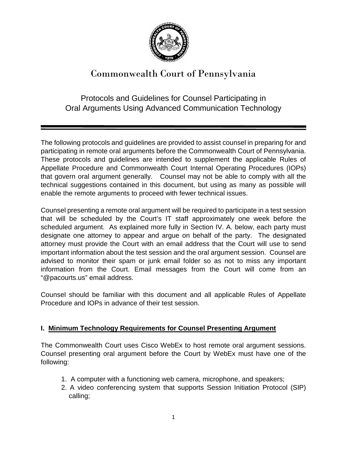

# Commonwealth Court of Pennsylvania

# Protocols and Guidelines for Counsel Participating in Oral Arguments Using Advanced Communication Technology

The following protocols and guidelines are provided to assist counsel in preparing for and participating in remote oral arguments before the Commonwealth Court of Pennsylvania. These protocols and guidelines are intended to supplement the applicable Rules of Appellate Procedure and Commonwealth Court Internal Operating Procedures (IOPs) that govern oral argument generally. Counsel may not be able to comply with all the technical suggestions contained in this document, but using as many as possible will enable the remote arguments to proceed with fewer technical issues.

Counsel presenting a remote oral argument will be required to participate in a test session that will be scheduled by the Court's IT staff approximately one week before the scheduled argument. As explained more fully in Section IV. A. below, each party must designate one attorney to appear and argue on behalf of the party. The designated attorney must provide the Court with an email address that the Court will use to send important information about the test session and the oral argument session. Counsel are advised to monitor their spam or junk email folder so as not to miss any important information from the Court. Email messages from the Court will come from an "@pacourts.us" email address.

Counsel should be familiar with this document and all applicable Rules of Appellate Procedure and IOPs in advance of their test session.

# **I. Minimum Technology Requirements for Counsel Presenting Argument**

The Commonwealth Court uses Cisco WebEx to host remote oral argument sessions. Counsel presenting oral argument before the Court by WebEx must have one of the following:

- 1. A computer with a functioning web camera, microphone, and speakers;
- 2. A video conferencing system that supports Session Initiation Protocol (SIP) calling;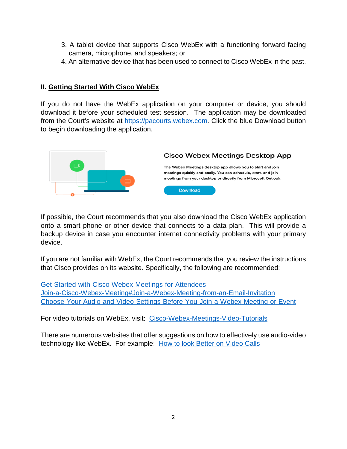- 3. A tablet device that supports Cisco WebEx with a functioning forward facing camera, microphone, and speakers; or
- 4. An alternative device that has been used to connect to Cisco WebEx in the past.

#### **II. Getting Started With Cisco WebEx**

If you do not have the WebEx application on your computer or device, you should download it before your scheduled test session. The application may be downloaded from the Court's website at [https://pacourts.webex.com.](https://pacourts.webex.com/) Click the blue Download button to begin downloading the application.



If possible, the Court recommends that you also download the Cisco WebEx application onto a smart phone or other device that connects to a data plan. This will provide a backup device in case you encounter internet connectivity problems with your primary device.

If you are not familiar with WebEx, the Court recommends that you review the instructions that Cisco provides on its website. Specifically, the following are recommended:

[Get-Started-with-Cisco-Webex-Meetings-for-Attendees](https://help.webex.com/en-us/n62wi3c/Get-Started-with-Cisco-Webex-Meetings-for-Attendees) [Join-a-Cisco-Webex-Meeting#Join-a-Webex-Meeting-from-an-Email-Invitation](https://help.webex.com/en-us/ozygebb/Join-a-Cisco-Webex-Meeting#Join-a-Webex-Meeting-from-an-Email-Invitation) [Choose-Your-Audio-and-Video-Settings-Before-You-Join-a-Webex-Meeting-or-Event](https://help.webex.com/en-us/nt2ig0y/Choose-Your-Audio-and-Video-Settings-Before-You-Join-a-Webex-Meeting-or-Event)

For video tutorials on WebEx, visit: [Cisco-Webex-Meetings-Video-Tutorials](https://help.webex.com/en-us/8bzter/Cisco-Webex-Meetings-Video-Tutorials)

There are numerous websites that offer suggestions on how to effectively use audio-video technology like WebEx. For example: [How to look Better on Video Calls](https://www.youtube.com/watch?v=6rUhmh0TThE&feature=youtu.be)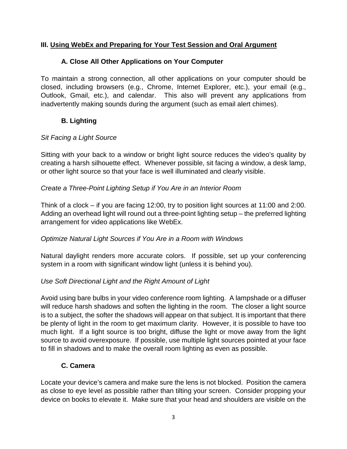#### **III. Using WebEx and Preparing for Your Test Session and Oral Argument**

#### **A. Close All Other Applications on Your Computer**

To maintain a strong connection, all other applications on your computer should be closed, including browsers (e.g., Chrome, Internet Explorer, etc.), your email (e.g., Outlook, Gmail, etc.), and calendar. This also will prevent any applications from inadvertently making sounds during the argument (such as email alert chimes).

# **B. Lighting**

#### *Sit Facing a Light Source*

Sitting with your back to a window or bright light source reduces the video's quality by creating a harsh silhouette effect. Whenever possible, sit facing a window, a desk lamp, or other light source so that your face is well illuminated and clearly visible.

#### *Create a Three-Point Lighting Setup if You Are in an Interior Room*

Think of a clock – if you are facing 12:00, try to position light sources at 11:00 and 2:00. Adding an overhead light will round out a three-point lighting setup – the preferred lighting arrangement for video applications like WebEx.

#### *Optimize Natural Light Sources if You Are in a Room with Windows*

Natural daylight renders more accurate colors. If possible, set up your conferencing system in a room with significant window light (unless it is behind you).

#### *Use Soft Directional Light and the Right Amount of Light*

Avoid using bare bulbs in your video conference room lighting. A lampshade or a diffuser will reduce harsh shadows and soften the lighting in the room. The closer a light source is to a subject, the softer the shadows will appear on that subject. It is important that there be plenty of light in the room to get maximum clarity. However, it is possible to have too much light. If a light source is too bright, diffuse the light or move away from the light source to avoid overexposure. If possible, use multiple light sources pointed at your face to fill in shadows and to make the overall room lighting as even as possible.

# **C. Camera**

Locate your device's camera and make sure the lens is not blocked. Position the camera as close to eye level as possible rather than tilting your screen. Consider propping your device on books to elevate it. Make sure that your head and shoulders are visible on the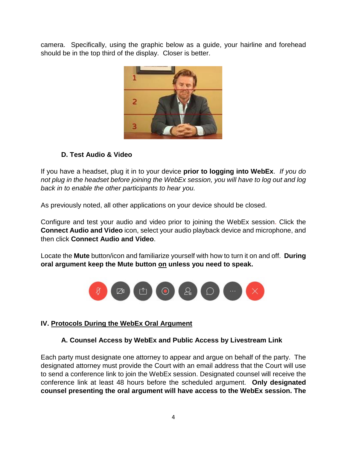camera. Specifically, using the graphic below as a guide, your hairline and forehead should be in the top third of the display. Closer is better.



# **D. Test Audio & Video**

If you have a headset, plug it in to your device **prior to logging into WebEx**. *If you do not plug in the headset before joining the WebEx session, you will have to log out and log back in to enable the other participants to hear you.*

As previously noted, all other applications on your device should be closed.

Configure and test your audio and video prior to joining the WebEx session. Click the **Connect Audio and Video** icon, select your audio playback device and microphone, and then click **Connect Audio and Video**.

Locate the **Mute** button/icon and familiarize yourself with how to turn it on and off. **During oral argument keep the Mute button on unless you need to speak.**



# **IV. Protocols During the WebEx Oral Argument**

# **A. Counsel Access by WebEx and Public Access by Livestream Link**

Each party must designate one attorney to appear and argue on behalf of the party. The designated attorney must provide the Court with an email address that the Court will use to send a conference link to join the WebEx session. Designated counsel will receive the conference link at least 48 hours before the scheduled argument. **Only designated counsel presenting the oral argument will have access to the WebEx session. The**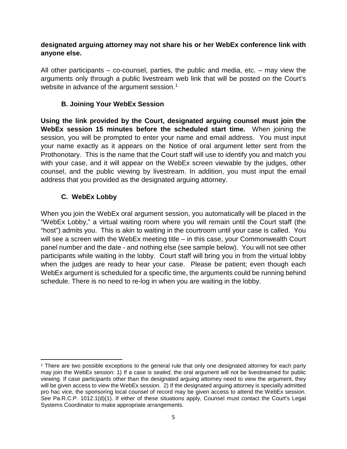#### **designated arguing attorney may not share his or her WebEx conference link with anyone else.**

All other participants – co-counsel, parties, the public and media, etc. – may view the arguments only through a public livestream web link that will be posted on the Court's website in advance of the argument session.<sup>[1](#page-4-0)</sup>

#### **B. Joining Your WebEx Session**

**Using the link provided by the Court, designated arguing counsel must join the WebEx session 15 minutes before the scheduled start time.** When joining the session, you will be prompted to enter your name and email address. You must input your name exactly as it appears on the Notice of oral argument letter sent from the Prothonotary. This is the name that the Court staff will use to identify you and match you with your case, and it will appear on the WebEx screen viewable by the judges, other counsel, and the public viewing by livestream. In addition, you must input the email address that you provided as the designated arguing attorney.

# **C. WebEx Lobby**

When you join the WebEx oral argument session, you automatically will be placed in the "WebEx Lobby," a virtual waiting room where you will remain until the Court staff (the "host") admits you. This is akin to waiting in the courtroom until your case is called. You will see a screen with the WebEx meeting title – in this case, your Commonwealth Court panel number and the date - and nothing else (see sample below). You will not see other participants while waiting in the lobby. Court staff will bring you in from the virtual lobby when the judges are ready to hear your case. Please be patient; even though each WebEx argument is scheduled for a specific time, the arguments could be running behind schedule. There is no need to re-log in when you are waiting in the lobby.

<span id="page-4-0"></span>l <sup>1</sup> There are two possible exceptions to the general rule that only one designated attorney for each party may join the WebEx session: 1) If a case is *sealed*, the oral argument will not be livestreamed for public viewing. If case participants other than the designated arguing attorney need to view the argument, they will be given access to view the WebEx session. 2) If the designated arguing attorney is specially admitted pro hac vice, the sponsoring local counsel of record may be given access to attend the WebEx session. *See* Pa.R.C.P. 1012.1(d)(1). If either of these situations apply, Counsel must contact the Court's Legal Systems Coordinator to make appropriate arrangements.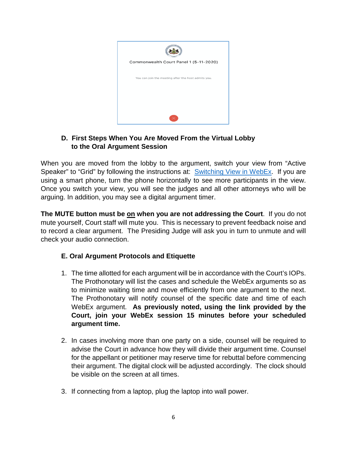

#### **D. First Steps When You Are Moved From the Virtual Lobby to the Oral Argument Session**

When you are moved from the lobby to the argument, switch your view from "Active Speaker" to "Grid" by following the instructions at: **[Switching View in WebEx.](https://help.webex.com/video?videoId=6084741822001)** If you are using a smart phone, turn the phone horizontally to see more participants in the view. Once you switch your view, you will see the judges and all other attorneys who will be arguing. In addition, you may see a digital argument timer.

**The MUTE button must be on when you are not addressing the Court**. If you do not mute yourself, Court staff will mute you. This is necessary to prevent feedback noise and to record a clear argument. The Presiding Judge will ask you in turn to unmute and will check your audio connection.

# **E. Oral Argument Protocols and Etiquette**

- 1. The time allotted for each argument will be in accordance with the Court's IOPs. The Prothonotary will list the cases and schedule the WebEx arguments so as to minimize waiting time and move efficiently from one argument to the next. The Prothonotary will notify counsel of the specific date and time of each WebEx argument. **As previously noted, using the link provided by the Court, join your WebEx session 15 minutes before your scheduled argument time.**
- 2. In cases involving more than one party on a side, counsel will be required to advise the Court in advance how they will divide their argument time. Counsel for the appellant or petitioner may reserve time for rebuttal before commencing their argument. The digital clock will be adjusted accordingly. The clock should be visible on the screen at all times.
- 3. If connecting from a laptop, plug the laptop into wall power.